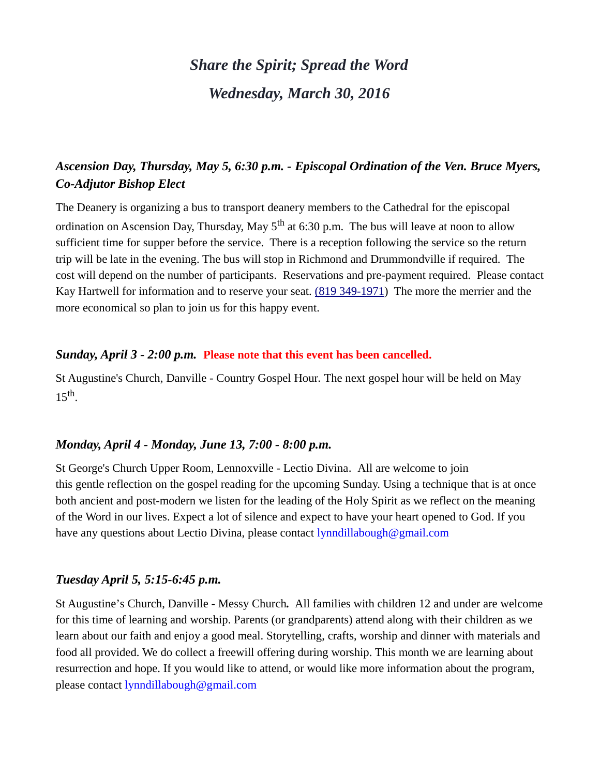# *Share the Spirit; Spread the Word Wednesday, March 30, 2016*

## *Ascension Day, Thursday, May 5, 6:30 p.m. - Episcopal Ordination of the Ven. Bruce Myers, Co-Adjutor Bishop Elect*

The Deanery is organizing a bus to transport deanery members to the Cathedral for the episcopal ordination on Ascension Day, Thursday, May  $5<sup>th</sup>$  at 6:30 p.m. The bus will leave at noon to allow sufficient time for supper before the service. There is a reception following the service so the return trip will be late in the evening. The bus will stop in Richmond and Drummondville if required. The cost will depend on the number of participants. Reservations and pre-payment required. Please contact Kay Hartwell for information and to reserve your seat. [\(819 349-1971\)](tel:(819%20349-1971) The more the merrier and the more economical so plan to join us for this happy event.

#### *Sunday, April 3 - 2:00 p.m.* **Please note that this event has been cancelled.**

St Augustine's Church, Danville - Country Gospel Hour. The next gospel hour will be held on May  $15<sup>th</sup>$ .

## *Monday, April 4 - Monday, June 13, 7:00 - 8:00 p.m.*

St George's Church Upper Room, Lennoxville - Lectio Divina. All are welcome to join this gentle reflection on the gospel reading for the upcoming Sunday. Using a technique that is at once both ancient and post-modern we listen for the leading of the Holy Spirit as we reflect on the meaning of the Word in our lives. Expect a lot of silence and expect to have your heart opened to God. If you have any questions about Lectio Divina, please contact [lynndillabough@gmail.com](https://webmail.ubishops.ca/owa/redir.aspx?SURL=9a57gD4r7ZWSjW6IDhyUWbYalWZgi5J55h8s7EFsnjYWbEchuELTCG0AYQBpAGwAdABvADoAbAB5AG4AbgBkAGkAbABsAGEAYgBvAHUAZwBoAEAAZwBtAGEAaQBsAC4AYwBvAG0A&URL=mailto%3Alynndillabough@gmail.com)

## *Tuesday April 5, 5:15-6:45 p.m.*

St Augustine's Church, Danville - Messy Church*.* All families with children 12 and under are welcome for this time of learning and worship. Parents (or grandparents) attend along with their children as we learn about our faith and enjoy a good meal. Storytelling, crafts, worship and dinner with materials and food all provided. We do collect a freewill offering during worship. This month we are learning about resurrection and hope. If you would like to attend, or would like more information about the program, please contact [lynndillabough@gmail.com](https://webmail.ubishops.ca/owa/redir.aspx?SURL=9a57gD4r7ZWSjW6IDhyUWbYalWZgi5J55h8s7EFsnjYWbEchuELTCG0AYQBpAGwAdABvADoAbAB5AG4AbgBkAGkAbABsAGEAYgBvAHUAZwBoAEAAZwBtAGEAaQBsAC4AYwBvAG0A&URL=mailto%3Alynndillabough@gmail.com)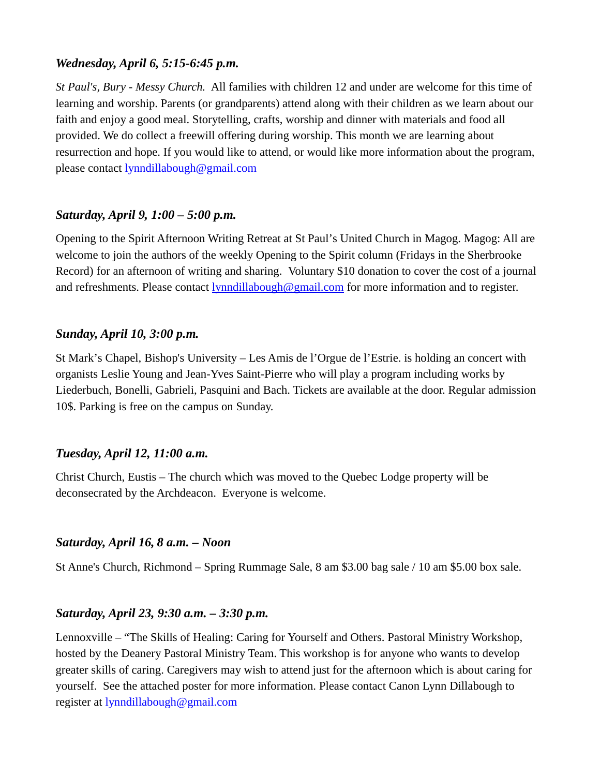## *Wednesday, April 6, 5:15-6:45 p.m.*

*St Paul's, Bury - Messy Church.* All families with children 12 and under are welcome for this time of learning and worship. Parents (or grandparents) attend along with their children as we learn about our faith and enjoy a good meal. Storytelling, crafts, worship and dinner with materials and food all provided. We do collect a freewill offering during worship. This month we are learning about resurrection and hope. If you would like to attend, or would like more information about the program, please contact [lynndillabough@gmail.com](https://webmail.ubishops.ca/owa/redir.aspx?SURL=9a57gD4r7ZWSjW6IDhyUWbYalWZgi5J55h8s7EFsnjYWbEchuELTCG0AYQBpAGwAdABvADoAbAB5AG4AbgBkAGkAbABsAGEAYgBvAHUAZwBoAEAAZwBtAGEAaQBsAC4AYwBvAG0A&URL=mailto%3Alynndillabough@gmail.com)

#### *Saturday, April 9, 1:00 – 5:00 p.m.*

Opening to the Spirit Afternoon Writing Retreat at St Paul's United Church in Magog. Magog: All are welcome to join the authors of the weekly Opening to the Spirit column (Fridays in the Sherbrooke Record) for an afternoon of writing and sharing. Voluntary \$10 donation to cover the cost of a journal and refreshments. Please contact [lynndillabough@gmail.com](https://webmail.ubishops.ca/owa/redir.aspx?SURL=0TDUtmhxNBR-zF--M-US9RkmIL7_pc2nQV-AGspegafVnrL4zk3TCG0AYQBpAGwAdABvADoAbAB5AG4AbgBkAGkAbABsAGEAYgBvAHUAZwBoAEAAZwBtAGEAaQBsAC4AYwBvAG0A&URL=mailto%3Alynndillabough@gmail.com) for more information and to register.

#### *Sunday, April 10, 3:00 p.m.*

St Mark's Chapel, Bishop's University – Les Amis de l'Orgue de l'Estrie. is holding an concert with organists Leslie Young and Jean-Yves Saint-Pierre who will play a program including works by Liederbuch, Bonelli, Gabrieli, Pasquini and Bach. Tickets are available at the door. Regular admission 10\$. Parking is free on the campus on Sunday.

#### *Tuesday, April 12, 11:00 a.m.*

Christ Church, Eustis – The church which was moved to the Quebec Lodge property will be deconsecrated by the Archdeacon. Everyone is welcome.

#### *Saturday, April 16, 8 a.m. – Noon*

St Anne's Church, Richmond – Spring Rummage Sale, 8 am \$3.00 bag sale / 10 am \$5.00 box sale.

#### *Saturday, April 23, 9:30 a.m. – 3:30 p.m.*

Lennoxville – "The Skills of Healing: Caring for Yourself and Others. Pastoral Ministry Workshop, hosted by the Deanery Pastoral Ministry Team. This workshop is for anyone who wants to develop greater skills of caring. Caregivers may wish to attend just for the afternoon which is about caring for yourself. See the attached poster for more information. Please contact Canon Lynn Dillabough to register at [lynndillabough@gmail.com](https://webmail.ubishops.ca/owa/redir.aspx?SURL=hdjYUT7WCUNYqFZijozknMHWJ3aRy6vsqTzrilp56ZtP3_2s-BXTCG0AYQBpAGwAdABvADoAbAB5AG4AbgBkAGkAbABsAGEAYgBvAHUAZwBoAEAAZwBtAGEAaQBsAC4AYwBvAG0A&URL=mailto%3Alynndillabough@gmail.com)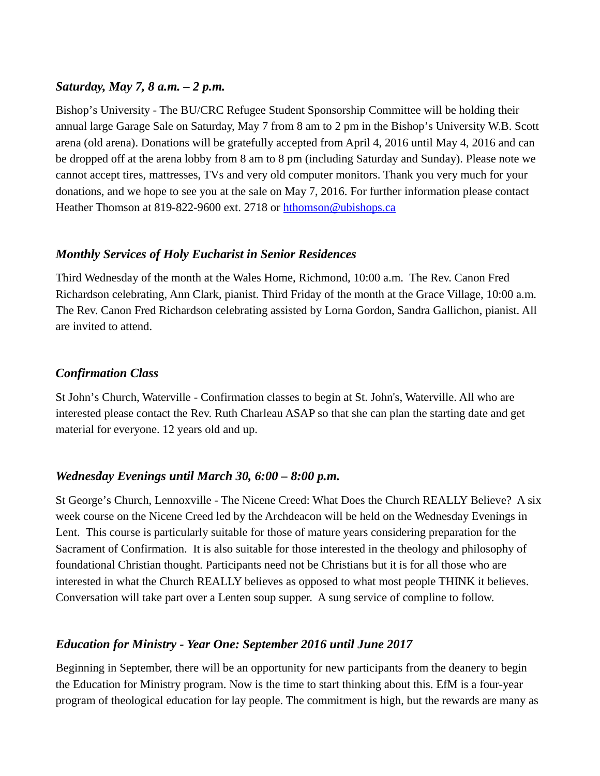## *Saturday, May 7, 8 a.m. – 2 p.m.*

Bishop's University - The BU/CRC Refugee Student Sponsorship Committee will be holding their annual large Garage Sale on Saturday, May 7 from 8 am to 2 pm in the Bishop's University W.B. Scott arena (old arena). Donations will be gratefully accepted from April 4, 2016 until May 4, 2016 and can be dropped off at the arena lobby from 8 am to 8 pm (including Saturday and Sunday). Please note we cannot accept tires, mattresses, TVs and very old computer monitors. Thank you very much for your donations, and we hope to see you at the sale on May 7, 2016. For further information please contact Heather Thomson at 819-822-9600 ext. 2718 or [hthomson@ubishops.ca](https://webmail.ubishops.ca/owa/redir.aspx?REF=FLnmocQHos1aSS6_izloWzXz-vn948huD0NonW8iwmC1KgSOCljTCAFtYWlsdG86aHRob21zb25AdWJpc2hvcHMuY2E.)

#### *Monthly Services of Holy Eucharist in Senior Residences*

Third Wednesday of the month at the Wales Home, Richmond, 10:00 a.m. The Rev. Canon Fred Richardson celebrating, Ann Clark, pianist. Third Friday of the month at the Grace Village, 10:00 a.m. The Rev. Canon Fred Richardson celebrating assisted by Lorna Gordon, Sandra Gallichon, pianist. All are invited to attend.

## *Confirmation Class*

St John's Church, Waterville - Confirmation classes to begin at St. John's, Waterville. All who are interested please contact the Rev. Ruth Charleau ASAP so that she can plan the starting date and get material for everyone. 12 years old and up.

#### *Wednesday Evenings until March 30, 6:00 – 8:00 p.m.*

St George's Church, Lennoxville - The Nicene Creed: What Does the Church REALLY Believe? A six week course on the Nicene Creed led by the Archdeacon will be held on the Wednesday Evenings in Lent. This course is particularly suitable for those of mature years considering preparation for the Sacrament of Confirmation. It is also suitable for those interested in the theology and philosophy of foundational Christian thought. Participants need not be Christians but it is for all those who are interested in what the Church REALLY believes as opposed to what most people THINK it believes. Conversation will take part over a Lenten soup supper. A sung service of compline to follow.

#### *Education for Ministry - Year One: September 2016 until June 2017*

Beginning in September, there will be an opportunity for new participants from the deanery to begin the Education for Ministry program. Now is the time to start thinking about this. EfM is a four-year program of theological education for lay people. The commitment is high, but the rewards are many as